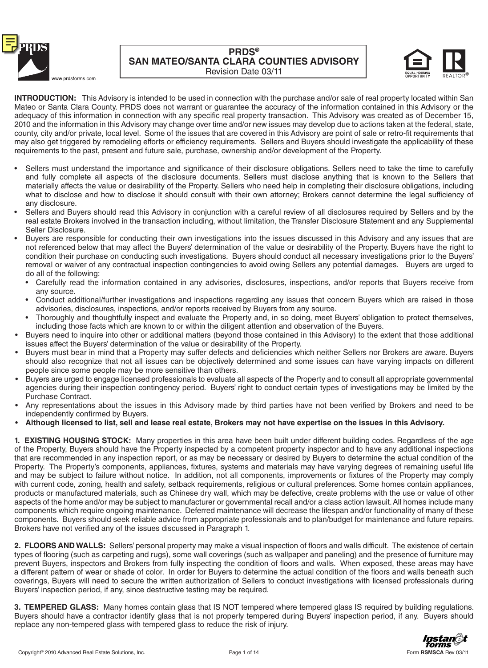



**INTRODUCTION:** This Advisory is intended to be used in connection with the purchase and/or sale of real property located within San Mateo or Santa Clara County. PRDS does not warrant or guarantee the accuracy of the information contained in this Advisory or the adequacy of this information in connection with any specific real property transaction. This Advisory was created as of December 15, 2010 and the information in this Advisory may change over time and/or new issues may develop due to actions taken at the federal, state, county, city and/or private, local level. Some of the issues that are covered in this Advisory are point of sale or retro-fit requirements that may also get triggered by remodeling efforts or efficiency requirements. Sellers and Buyers should investigate the applicability of these requirements to the past, present and future sale, purchase, ownership and/or development of the Property.

- Sellers must understand the importance and significance of their disclosure obligations. Sellers need to take the time to carefully and fully complete all aspects of the disclosure documents. Sellers must disclose anything that is known to the Sellers that materially affects the value or desirability of the Property. Sellers who need help in completing their disclosure obligations, including what to disclose and how to disclose it should consult with their own attorney; Brokers cannot determine the legal sufficiency of any disclosure.
- Sellers and Buyers should read this Advisory in conjunction with a careful review of all disclosures required by Sellers and by the real estate Brokers involved in the transaction including, without limitation, the Transfer Disclosure Statement and any Supplemental Seller Disclosure.
- Buyers are responsible for conducting their own investigations into the issues discussed in this Advisory and any issues that are not referenced below that may affect the Buyers' determination of the value or desirability of the Property. Buyers have the right to condition their purchase on conducting such investigations. Buyers should conduct all necessary investigations prior to the Buyers' removal or waiver of any contractual inspection contingencies to avoid owing Sellers any potential damages. Buyers are urged to do all of the following:
	- Carefully read the information contained in any advisories, disclosures, inspections, and/or reports that Buyers receive from any source.
	- Conduct additional/further investigations and inspections regarding any issues that concern Buyers which are raised in those advisories, disclosures, inspections, and/or reports received by Buyers from any source.
	- Thoroughly and thoughtfully inspect and evaluate the Property and, in so doing, meet Buyers' obligation to protect themselves, including those facts which are known to or within the diligent attention and observation of the Buyers.
- Buyers need to inquire into other or additional matters (beyond those contained in this Advisory) to the extent that those additional issues affect the Buyers' determination of the value or desirability of the Property.
- Buyers must bear in mind that a Property may suffer defects and deficiencies which neither Sellers nor Brokers are aware. Buyers should also recognize that not all issues can be objectively determined and some issues can have varying impacts on different people since some people may be more sensitive than others.
- Buyers are urged to engage licensed professionals to evaluate all aspects of the Property and to consult all appropriate governmental agencies during their inspection contingency period. Buyers' right to conduct certain types of investigations may be limited by the Purchase Contract.
- Any representations about the issues in this Advisory made by third parties have not been verified by Brokers and need to be independently confirmed by Buyers.
- Although licensed to list, sell and lease real estate, Brokers may not have expertise on the issues in this Advisory.

**1. EXISTING HOUSING STOCK:** Many properties in this area have been built under different building codes. Regardless of the age of the Property, Buyers should have the Property inspected by a competent property inspector and to have any additional inspections that are recommended in any inspection report, or as may be necessary or desired by Buyers to determine the actual condition of the Property. The Property's components, appliances, fixtures, systems and materials may have varying degrees of remaining useful life and may be subject to failure without notice. In addition, not all components, improvements or fixtures of the Property may comply with current code, zoning, health and safety, setback requirements, religious or cultural preferences. Some homes contain appliances, products or manufactured materials, such as Chinese dry wall, which may be defective, create problems with the use or value of other aspects of the home and/or may be subject to manufacturer or governmental recall and/or a class action lawsuit. All homes include many components which require ongoing maintenance. Deferred maintenance will decrease the lifespan and/or functionality of many of these components. Buyers should seek reliable advice from appropriate professionals and to plan/budget for maintenance and future repairs. Brokers have not verified any of the issues discussed in Paragraph 1.

**2. FLOORS AND WALLS:** Sellers' personal property may make a visual inspection of floors and walls difficult. The existence of certain types of flooring (such as carpeting and rugs), some wall coverings (such as wallpaper and paneling) and the presence of furniture may prevent Buyers, inspectors and Brokers from fully inspecting the condition of floors and walls. When exposed, these areas may have a different pattern of wear or shade of color. In order for Buyers to determine the actual condition of the floors and walls beneath such coverings, Buyers will need to secure the written authorization of Sellers to conduct investigations with licensed professionals during Buyers' inspection period, if any, since destructive testing may be required.

**3. TEMPERED GLASS:** Many homes contain glass that IS NOT tempered where tempered glass IS required by building regulations. Buyers should have a contractor identify glass that is not properly tempered during Buyers' inspection period, if any. Buyers should replace any non-tempered glass with tempered glass to reduce the risk of injury.

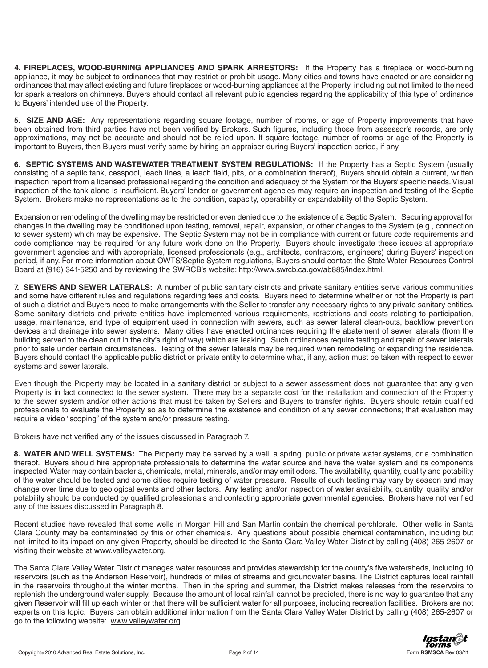**4. FIREPLACES, WOOD-BURNING APPLIANCES AND SPARK ARRESTORS:** If the Property has a fireplace or wood-burning appliance, it may be subject to ordinances that may restrict or prohibit usage. Many cities and towns have enacted or are considering ordinances that may affect existing and future fireplaces or wood-burning appliances at the Property, including but not limited to the need for spark arrestors on chimneys. Buyers should contact all relevant public agencies regarding the applicability of this type of ordinance to Buyers' intended use of the Property.

**5. SIZE AND AGE:** Any representations regarding square footage, number of rooms, or age of Property improvements that have been obtained from third parties have not been verified by Brokers. Such figures, including those from assessor's records, are only approximations, may not be accurate and should not be relied upon. If square footage, number of rooms or age of the Property is important to Buyers, then Buyers must verify same by hiring an appraiser during Buyers' inspection period, if any.

**6. SEPTIC SYSTEMS AND WASTEWATER TREATMENT SYSTEM REGULATIONS:** If the Property has a Septic System (usually consisting of a septic tank, cesspool, leach lines, a leach field, pits, or a combination thereof), Buyers should obtain a current, written inspection report from a licensed professional regarding the condition and adequacy of the System for the Buyers' specific needs. Visual inspection of the tank alone is insufficient. Buyers' lender or government agencies may require an inspection and testing of the Septic System. Brokers make no representations as to the condition, capacity, operability or expandability of the Septic System.

Expansion or remodeling of the dwelling may be restricted or even denied due to the existence of a Septic System. Securing approval for changes in the dwelling may be conditioned upon testing, removal, repair, expansion, or other changes to the System (e.g., connection to sewer system) which may be expensive. The Septic System may not be in compliance with current or future code requirements and code compliance may be required for any future work done on the Property. Buyers should investigate these issues at appropriate government agencies and with appropriate, licensed professionals (e.g., architects, contractors, engineers) during Buyers' inspection period, if any. For more information about OWTS/Septic System regulations, Buyers should contact the State Water Resources Control Board at (916) 341-5250 and by reviewing the SWRCB's website: http://www.swrcb.ca.gov/ab885/index.html.

**7. SEWERS AND SEWER LATERALS:** A number of public sanitary districts and private sanitary entities serve various communities and some have different rules and regulations regarding fees and costs. Buyers need to determine whether or not the Property is part of such a district and Buyers need to make arrangements with the Seller to transfer any necessary rights to any private sanitary entities. Some sanitary districts and private entities have implemented various requirements, restrictions and costs relating to participation, usage, maintenance, and type of equipment used in connection with sewers, such as sewer lateral clean-outs, backflow prevention devices and drainage into sewer systems. Many cities have enacted ordinances requiring the abatement of sewer laterals (from the building served to the clean out in the city's right of way) which are leaking. Such ordinances require testing and repair of sewer laterals prior to sale under certain circumstances. Testing of the sewer laterals may be required when remodeling or expanding the residence. Buyers should contact the applicable public district or private entity to determine what, if any, action must be taken with respect to sewer systems and sewer laterals.

Even though the Property may be located in a sanitary district or subject to a sewer assessment does not guarantee that any given Property is in fact connected to the sewer system. There may be a separate cost for the installation and connection of the Property to the sewer system and/or other actions that must be taken by Sellers and Buyers to transfer rights. Buyers should retain qualified professionals to evaluate the Property so as to determine the existence and condition of any sewer connections; that evaluation may require a video "scoping" of the system and/or pressure testing.

Brokers have not verified any of the issues discussed in Paragraph 7.

**8. WATER AND WELL SYSTEMS:** The Property may be served by a well, a spring, public or private water systems, or a combination thereof. Buyers should hire appropriate professionals to determine the water source and have the water system and its components inspected. Water may contain bacteria, chemicals, metal, minerals, and/or may emit odors. The availability, quantity, quality and potability of the water should be tested and some cities require testing of water pressure. Results of such testing may vary by season and may change over time due to geological events and other factors. Any testing and/or inspection of water availability, quantity, quality and/or potability should be conducted by qualified professionals and contacting appropriate governmental agencies. Brokers have not verified any of the issues discussed in Paragraph 8.

Recent studies have revealed that some wells in Morgan Hill and San Martin contain the chemical perchlorate. Other wells in Santa Clara County may be contaminated by this or other chemicals. Any questions about possible chemical contamination, including but not limited to its impact on any given Property, should be directed to the Santa Clara Valley Water District by calling (408) 265-2607 or visiting their website at www.valleywater.org.

The Santa Clara Valley Water District manages water resources and provides stewardship for the county's five watersheds, including 10 reservoirs (such as the Anderson Reservoir), hundreds of miles of streams and groundwater basins. The District captures local rainfall in the reservoirs throughout the winter months. Then in the spring and summer, the District makes releases from the reservoirs to replenish the underground water supply. Because the amount of local rainfall cannot be predicted, there is no way to guarantee that any given Reservoir will fill up each winter or that there will be sufficient water for all purposes, including recreation facilities. Brokers are not experts on this topic. Buyers can obtain additional information from the Santa Clara Valley Water District by calling (408) 265-2607 or go to the following website: www.valleywater.org.

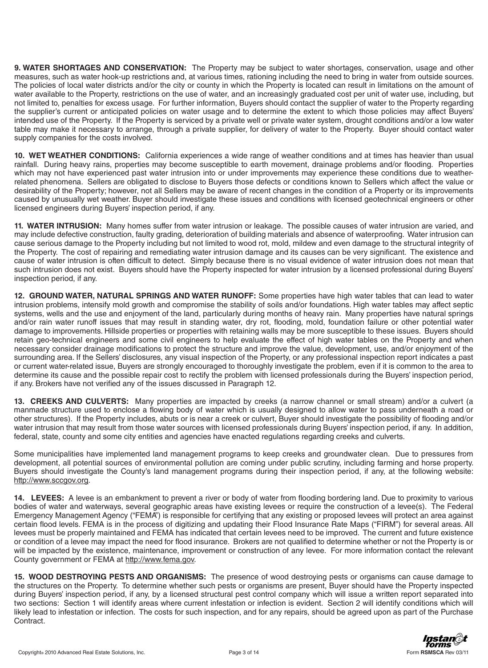**9. WATER SHORTAGES AND CONSERVATION:** The Property may be subject to water shortages, conservation, usage and other measures, such as water hook-up restrictions and, at various times, rationing including the need to bring in water from outside sources. The policies of local water districts and/or the city or county in which the Property is located can result in limitations on the amount of water available to the Property, restrictions on the use of water, and an increasingly graduated cost per unit of water use, including, but not limited to, penalties for excess usage. For further information, Buyers should contact the supplier of water to the Property regarding the supplier's current or anticipated policies on water usage and to determine the extent to which those policies may affect Buyers' intended use of the Property. If the Property is serviced by a private well or private water system, drought conditions and/or a low water table may make it necessary to arrange, through a private supplier, for delivery of water to the Property. Buyer should contact water supply companies for the costs involved.

**10. WET WEATHER CONDITIONS:** California experiences a wide range of weather conditions and at times has heavier than usual rainfall. During heavy rains, properties may become susceptible to earth movement, drainage problems and/or flooding. Properties which may not have experienced past water intrusion into or under improvements may experience these conditions due to weatherrelated phenomena. Sellers are obligated to disclose to Buyers those defects or conditions known to Sellers which affect the value or desirability of the Property; however, not all Sellers may be aware of recent changes in the condition of a Property or its improvements caused by unusually wet weather. Buyer should investigate these issues and conditions with licensed geotechnical engineers or other licensed engineers during Buyers' inspection period, if any.

**11. WATER INTRUSION:** Many homes suffer from water intrusion or leakage. The possible causes of water intrusion are varied, and may include defective construction, faulty grading, deterioration of building materials and absence of waterproofing. Water intrusion can cause serious damage to the Property including but not limited to wood rot, mold, mildew and even damage to the structural integrity of the Property. The cost of repairing and remediating water intrusion damage and its causes can be very significant. The existence and cause of water intrusion is often difficult to detect. Simply because there is no visual evidence of water intrusion does not mean that such intrusion does not exist. Buyers should have the Property inspected for water intrusion by a licensed professional during Buyers' inspection period, if any.

**12. GROUND WATER, NATURAL SPRINGS AND WATER RUNOFF:** Some properties have high water tables that can lead to water intrusion problems, intensify mold growth and compromise the stability of soils and/or foundations. High water tables may affect septic systems, wells and the use and enjoyment of the land, particularly during months of heavy rain. Many properties have natural springs and/or rain water runoff issues that may result in standing water, dry rot, flooding, mold, foundation failure or other potential water damage to improvements. Hillside properties or properties with retaining walls may be more susceptible to these issues. Buyers should retain geo-technical engineers and some civil engineers to help evaluate the effect of high water tables on the Property and when necessary consider drainage modifications to protect the structure and improve the value, development, use, and/or enjoyment of the surrounding area. If the Sellers' disclosures, any visual inspection of the Property, or any professional inspection report indicates a past or current water-related issue, Buyers are strongly encouraged to thoroughly investigate the problem, even if it is common to the area to determine its cause and the possible repair cost to rectify the problem with licensed professionals during the Buyers' inspection period, if any. Brokers have not verified any of the issues discussed in Paragraph 12.

**13. CREEKS AND CULVERTS:** Many properties are impacted by creeks (a narrow channel or small stream) and/or a culvert (a manmade structure used to enclose a flowing body of water which is usually designed to allow water to pass underneath a road or other structures). If the Property includes, abuts or is near a creek or culvert, Buyer should investigate the possibility of flooding and/or water intrusion that may result from those water sources with licensed professionals during Buyers' inspection period, if any. In addition, federal, state, county and some city entities and agencies have enacted regulations regarding creeks and culverts.

Some municipalities have implemented land management programs to keep creeks and groundwater clean. Due to pressures from development, all potential sources of environmental pollution are coming under public scrutiny, including farming and horse property. Buyers should investigate the County's land management programs during their inspection period, if any, at the following website: http://www.sccgov.org.

**14. LEVEES:** A levee is an embankment to prevent a river or body of water from flooding bordering land. Due to proximity to various bodies of water and waterways, several geographic areas have existing levees or require the construction of a levee(s). The Federal Emergency Management Agency ("FEMA") is responsible for certifying that any existing or proposed levees will protect an area against certain flood levels. FEMA is in the process of digitizing and updating their Flood Insurance Rate Maps ("FIRM") for several areas. All levees must be properly maintained and FEMA has indicated that certain levees need to be improved. The current and future existence or condition of a levee may impact the need for flood insurance. Brokers are not qualified to determine whether or not the Property is or will be impacted by the existence, maintenance, improvement or construction of any levee. For more information contact the relevant County government or FEMA at http://www.fema.gov.

**15. WOOD DESTROYING PESTS AND ORGANISMS:** The presence of wood destroying pests or organisms can cause damage to the structures on the Property. To determine whether such pests or organisms are present, Buyer should have the Property inspected during Buyers' inspection period, if any, by a licensed structural pest control company which will issue a written report separated into two sections: Section 1 will identify areas where current infestation or infection is evident. Section 2 will identify conditions which will likely lead to infestation or infection. The costs for such inspection, and for any repairs, should be agreed upon as part of the Purchase Contract.

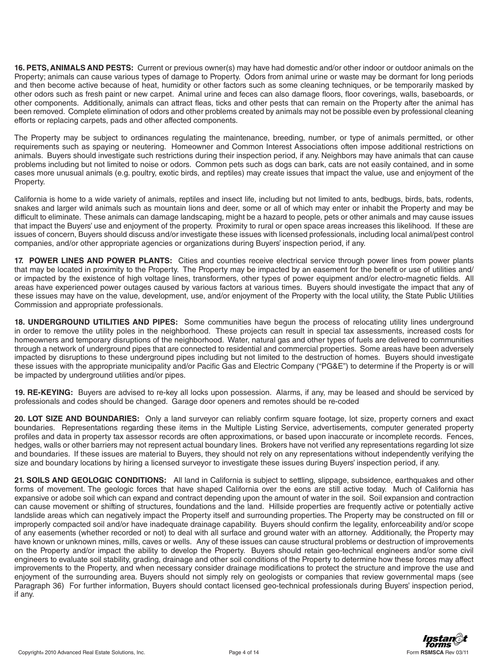**16. PETS, ANIMALS AND PESTS:** Current or previous owner(s) may have had domestic and/or other indoor or outdoor animals on the Property; animals can cause various types of damage to Property. Odors from animal urine or waste may be dormant for long periods and then become active because of heat, humidity or other factors such as some cleaning techniques, or be temporarily masked by other odors such as fresh paint or new carpet. Animal urine and feces can also damage floors, floor coverings, walls, baseboards, or other components. Additionally, animals can attract fleas, ticks and other pests that can remain on the Property after the animal has been removed. Complete elimination of odors and other problems created by animals may not be possible even by professional cleaning efforts or replacing carpets, pads and other affected components.

The Property may be subject to ordinances regulating the maintenance, breeding, number, or type of animals permitted, or other requirements such as spaying or neutering. Homeowner and Common Interest Associations often impose additional restrictions on animals. Buyers should investigate such restrictions during their inspection period, if any. Neighbors may have animals that can cause problems including but not limited to noise or odors. Common pets such as dogs can bark, cats are not easily contained, and in some cases more unusual animals (e.g. poultry, exotic birds, and reptiles) may create issues that impact the value, use and enjoyment of the Property.

California is home to a wide variety of animals, reptiles and insect life, including but not limited to ants, bedbugs, birds, bats, rodents, snakes and larger wild animals such as mountain lions and deer, some or all of which may enter or inhabit the Property and may be difficult to eliminate. These animals can damage landscaping, might be a hazard to people, pets or other animals and may cause issues that impact the Buyers' use and enjoyment of the property. Proximity to rural or open space areas increases this likelihood. If these are issues of concern, Buyers should discuss and/or investigate these issues with licensed professionals, including local animal/pest control companies, and/or other appropriate agencies or organizations during Buyers' inspection period, if any.

**17. POWER LINES AND POWER PLANTS:** Cities and counties receive electrical service through power lines from power plants that may be located in proximity to the Property. The Property may be impacted by an easement for the benefit or use of utilities and/ or impacted by the existence of high voltage lines, transformers, other types of power equipment and/or electro-magnetic fields. All areas have experienced power outages caused by various factors at various times. Buyers should investigate the impact that any of these issues may have on the value, development, use, and/or enjoyment of the Property with the local utility, the State Public Utilities Commission and appropriate professionals.

**18. UNDERGROUND UTILITIES AND PIPES:** Some communities have begun the process of relocating utility lines underground in order to remove the utility poles in the neighborhood. These projects can result in special tax assessments, increased costs for homeowners and temporary disruptions of the neighborhood. Water, natural gas and other types of fuels are delivered to communities through a network of underground pipes that are connected to residential and commercial properties. Some areas have been adversely impacted by disruptions to these underground pipes including but not limited to the destruction of homes. Buyers should investigate these issues with the appropriate municipality and/or Pacific Gas and Electric Company ("PG&E") to determine if the Property is or will be impacted by underground utilities and/or pipes.

**19. RE-KEYING:** Buyers are advised to re-key all locks upon possession. Alarms, if any, may be leased and should be serviced by professionals and codes should be changed. Garage door openers and remotes should be re-coded

**20. LOT SIZE AND BOUNDARIES:** Only a land surveyor can reliably confirm square footage, lot size, property corners and exact boundaries. Representations regarding these items in the Multiple Listing Service, advertisements, computer generated property profiles and data in property tax assessor records are often approximations, or based upon inaccurate or incomplete records. Fences, hedges, walls or other barriers may not represent actual boundary lines. Brokers have not verified any representations regarding lot size and boundaries. If these issues are material to Buyers, they should not rely on any representations without independently verifying the size and boundary locations by hiring a licensed surveyor to investigate these issues during Buyers' inspection period, if any.

**21. SOILS AND GEOLOGIC CONDITIONS:** All land in California is subject to settling, slippage, subsidence, earthquakes and other forms of movement. The geologic forces that have shaped California over the eons are still active today. Much of California has expansive or adobe soil which can expand and contract depending upon the amount of water in the soil. Soil expansion and contraction can cause movement or shifting of structures, foundations and the land. Hillside properties are frequently active or potentially active landslide areas which can negatively impact the Property itself and surrounding properties. The Property may be constructed on fill or improperly compacted soil and/or have inadequate drainage capability. Buyers should confirm the legality, enforceability and/or scope of any easements (whether recorded or not) to deal with all surface and ground water with an attorney. Additionally, the Property may have known or unknown mines, mills, caves or wells. Any of these issues can cause structural problems or destruction of improvements on the Property and/or impact the ability to develop the Property. Buyers should retain geo-technical engineers and/or some civil engineers to evaluate soil stability, grading, drainage and other soil conditions of the Property to determine how these forces may affect improvements to the Property, and when necessary consider drainage modifications to protect the structure and improve the use and enjoyment of the surrounding area. Buyers should not simply rely on geologists or companies that review governmental maps (see Paragraph 36) For further information, Buyers should contact licensed geo-technical professionals during Buyers' inspection period, if any.

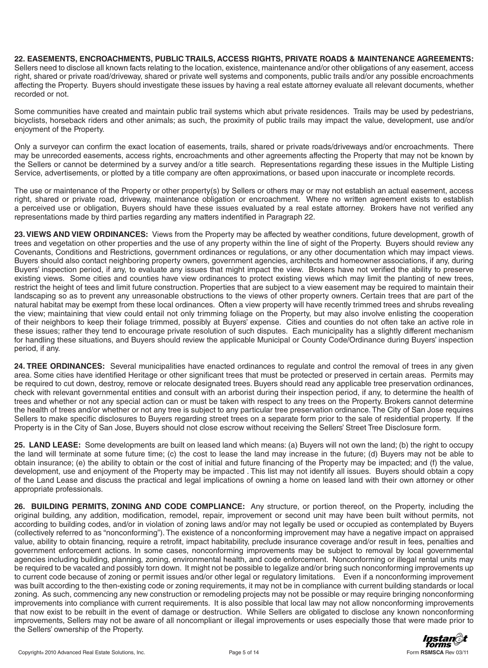**22. EASEMENTS, ENCROACHMENTS, PUBLIC TRAILS, ACCESS RIGHTS, PRIVATE ROADS & MAINTENANCE AGREEMENTS:**  Sellers need to disclose all known facts relating to the location, existence, maintenance and/or other obligations of any easement, access right, shared or private road/driveway, shared or private well systems and components, public trails and/or any possible encroachments affecting the Property. Buyers should investigate these issues by having a real estate attorney evaluate all relevant documents, whether recorded or not.

Some communities have created and maintain public trail systems which abut private residences. Trails may be used by pedestrians, bicyclists, horseback riders and other animals; as such, the proximity of public trails may impact the value, development, use and/or enjoyment of the Property.

Only a surveyor can confirm the exact location of easements, trails, shared or private roads/driveways and/or encroachments. There may be unrecorded easements, access rights, encroachments and other agreements affecting the Property that may not be known by the Sellers or cannot be determined by a survey and/or a title search. Representations regarding these issues in the Multiple Listing Service, advertisements, or plotted by a title company are often approximations, or based upon inaccurate or incomplete records.

The use or maintenance of the Property or other property(s) by Sellers or others may or may not establish an actual easement, access right, shared or private road, driveway, maintenance obligation or encroachment. Where no written agreement exists to establish a perceived use or obligation, Buyers should have these issues evaluated by a real estate attorney. Brokers have not verified any representations made by third parties regarding any matters indentified in Paragraph 22.

**23. VIEWS AND VIEW ORDINANCES:** Views from the Property may be affected by weather conditions, future development, growth of trees and vegetation on other properties and the use of any property within the line of sight of the Property. Buyers should review any Covenants, Conditions and Restrictions, government ordinances or regulations, or any other documentation which may impact views. Buyers should also contact neighboring property owners, government agencies, architects and homeowner associations, if any, during Buyers' inspection period, if any, to evaluate any issues that might impact the view. Brokers have not verified the ability to preserve existing views. Some cities and counties have view ordinances to protect existing views which may limit the planting of new trees, restrict the height of tees and limit future construction. Properties that are subject to a view easement may be required to maintain their landscaping so as to prevent any unreasonable obstructions to the views of other property owners. Certain trees that are part of the natural habitat may be exempt from these local ordinances. Often a view property will have recently trimmed trees and shrubs revealing the view; maintaining that view could entail not only trimming foliage on the Property, but may also involve enlisting the cooperation of their neighbors to keep their foliage trimmed, possibly at Buyers' expense. Cities and counties do not often take an active role in these issues; rather they tend to encourage private resolution of such disputes. Each municipality has a slightly different mechanism for handling these situations, and Buyers should review the applicable Municipal or County Code/Ordinance during Buyers' inspection period, if any.

**24. TREE ORDINANCES:** Several municipalities have enacted ordinances to regulate and control the removal of trees in any given area. Some cities have identified Heritage or other significant trees that must be protected or preserved in certain areas. Permits may be required to cut down, destroy, remove or relocate designated trees. Buyers should read any applicable tree preservation ordinances, check with relevant governmental entities and consult with an arborist during their inspection period, if any, to determine the health of trees and whether or not any special action can or must be taken with respect to any trees on the Property. Brokers cannot determine the health of trees and/or whether or not any tree is subject to any particular tree preservation ordinance. The City of San Jose requires Sellers to make specific disclosures to Buyers regarding street trees on a separate form prior to the sale of residential property. If the Property is in the City of San Jose, Buyers should not close escrow without receiving the Sellers' Street Tree Disclosure form.

**25. LAND LEASE:** Some developments are built on leased land which means: (a) Buyers will not own the land; (b) the right to occupy the land will terminate at some future time; (c) the cost to lease the land may increase in the future; (d) Buyers may not be able to obtain insurance; (e) the ability to obtain or the cost of initial and future financing of the Property may be impacted; and (f) the value, development, use and enjoyment of the Property may be impacted . This list may not identify all issues. Buyers should obtain a copy of the Land Lease and discuss the practical and legal implications of owning a home on leased land with their own attorney or other appropriate professionals.

**26. BUILDING PERMITS, ZONING AND CODE COMPLIANCE:** Any structure, or portion thereof, on the Property, including the original building, any addition, modification, remodel, repair, improvement or second unit may have been built without permits, not according to building codes, and/or in violation of zoning laws and/or may not legally be used or occupied as contemplated by Buyers (collectively referred to as "nonconforming"). The existence of a nonconforming improvement may have a negative impact on appraised value, ability to obtain financing, require a retrofit, impact habitability, preclude insurance coverage and/or result in fees, penalties and government enforcement actions. In some cases, nonconforming improvements may be subject to removal by local governmental agencies including building, planning, zoning, environmental health, and code enforcement. Nonconforming or illegal rental units may be required to be vacated and possibly torn down. It might not be possible to legalize and/or bring such nonconforming improvements up to current code because of zoning or permit issues and/or other legal or regulatory limitations. Even if a nonconforming improvement was built according to the then-existing code or zoning requirements, it may not be in compliance with current building standards or local zoning. As such, commencing any new construction or remodeling projects may not be possible or may require bringing nonconforming improvements into compliance with current requirements. It is also possible that local law may not allow nonconforming improvements that now exist to be rebuilt in the event of damage or destruction. While Sellers are obligated to disclose any known nonconforming improvements, Sellers may not be aware of all noncompliant or illegal improvements or uses especially those that were made prior to the Sellers' ownership of the Property.

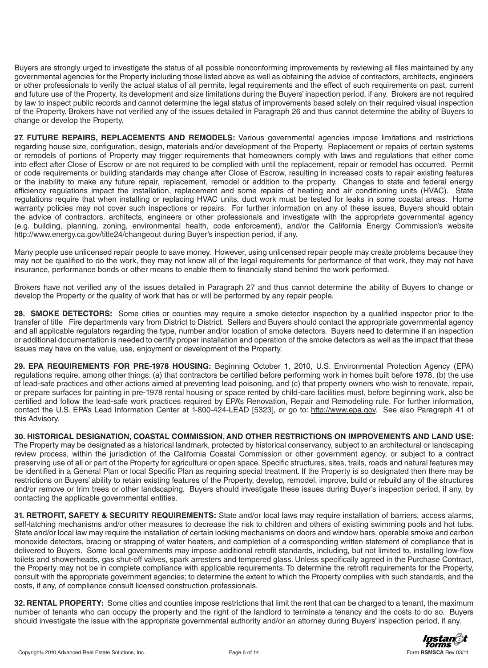Buyers are strongly urged to investigate the status of all possible nonconforming improvements by reviewing all files maintained by any governmental agencies for the Property including those listed above as well as obtaining the advice of contractors, architects, engineers or other professionals to verify the actual status of all permits, legal requirements and the effect of such requirements on past, current and future use of the Property, its development and size limitations during the Buyers' inspection period, if any. Brokers are not required by law to inspect public records and cannot determine the legal status of improvements based solely on their required visual inspection of the Property. Brokers have not verified any of the issues detailed in Paragraph 26 and thus cannot determine the ability of Buyers to change or develop the Property.

**27. FUTURE REPAIRS, REPLACEMENTS AND REMODELS:** Various governmental agencies impose limitations and restrictions regarding house size, configuration, design, materials and/or development of the Property. Replacement or repairs of certain systems or remodels of portions of Property may trigger requirements that homeowners comply with laws and regulations that either come into effect after Close of Escrow or are not required to be complied with until the replacement, repair or remodel has occurred. Permit or code requirements or building standards may change after Close of Escrow, resulting in increased costs to repair existing features or the inability to make any future repair, replacement, remodel or addition to the property. Changes to state and federal energy efficiency regulations impact the installation, replacement and some repairs of heating and air conditioning units (HVAC). State regulations require that when installing or replacing HVAC units, duct work must be tested for leaks in some coastal areas. Home warranty policies may not cover such inspections or repairs. For further information on any of these issues, Buyers should obtain the advice of contractors, architects, engineers or other professionals and investigate with the appropriate governmental agency (e.g. building, planning, zoning, environmental health, code enforcement), and/or the California Energy Commission's website http://www.energy.ca.gov/title24/changeout during Buyer's inspection period, if any.

Many people use unlicensed repair people to save money. However, using unlicensed repair people may create problems because they may not be qualified to do the work, they may not know all of the legal requirements for performance of that work, they may not have insurance, performance bonds or other means to enable them to financially stand behind the work performed.

Brokers have not verified any of the issues detailed in Paragraph 27 and thus cannot determine the ability of Buyers to change or develop the Property or the quality of work that has or will be performed by any repair people.

**28. SMOKE DETECTORS:** Some cities or counties may require a smoke detector inspection by a qualified inspector prior to the transfer of title Fire departments vary from District to District. Sellers and Buyers should contact the appropriate governmental agency and all applicable regulators regarding the type, number and/or location of smoke detectors. Buyers need to determine if an inspection or additional documentation is needed to certify proper installation and operation of the smoke detectors as well as the impact that these issues may have on the value, use, enjoyment or development of the Property.

**29. EPA REQUIREMENTS FOR PRE-1978 HOUSING:** Beginning October 1, 2010, U.S. Environmental Protection Agency (EPA) regulations require, among other things: (a) that contractors be certified before performing work in homes built before 1978, (b) the use of lead-safe practices and other actions aimed at preventing lead poisoning, and (c) that property owners who wish to renovate, repair, or prepare surfaces for painting in pre-1978 rental housing or space rented by child-care facilities must, before beginning work, also be certified and follow the lead-safe work practices required by EPA's Renovation, Repair and Remodeling rule. For further information, contact the U.S. EPA's Lead Information Center at 1-800-424-LEAD [5323], or go to: http://www.epa.gov. See also Paragraph 41 of this Advisory.

**30. HISTORICAL DESIGNATION, COASTAL COMMISSION, AND OTHER RESTRICTIONS ON IMPROVEMENTS AND LAND USE:**  The Property may be designated as a historical landmark, protected by historical conservancy, subject to an architectural or landscaping review process, within the jurisdiction of the California Coastal Commission or other government agency, or subject to a contract preserving use of all or part of the Property for agriculture or open space. Specific structures, sites, trails, roads and natural features may be identified in a General Plan or local Specific Plan as requiring special treatment. If the Property is so designated then there may be restrictions on Buyers' ability to retain existing features of the Property, develop, remodel, improve, build or rebuild any of the structures and/or remove or trim trees or other landscaping. Buyers should investigate these issues during Buyer's inspection period, if any, by contacting the applicable governmental entities.

**31. RETROFIT, SAFETY & SECURITY REQUIREMENTS:** State and/or local laws may require installation of barriers, access alarms, self-latching mechanisms and/or other measures to decrease the risk to children and others of existing swimming pools and hot tubs. State and/or local law may require the installation of certain locking mechanisms on doors and window bars, operable smoke and carbon monoxide detectors, bracing or strapping of water heaters, and completion of a corresponding written statement of compliance that is delivered to Buyers. Some local governments may impose additional retrofit standards, including, but not limited to, installing low-flow toilets and showerheads, gas shut-off valves, spark arresters and tempered glass. Unless specifically agreed in the Purchase Contract, the Property may not be in complete compliance with applicable requirements. To determine the retrofit requirements for the Property, consult with the appropriate government agencies; to determine the extent to which the Property complies with such standards, and the costs, if any, of compliance consult licensed construction professionals.

**32. RENTAL PROPERTY:** Some cities and counties impose restrictions that limit the rent that can be charged to a tenant, the maximum number of tenants who can occupy the property and the right of the landlord to terminate a tenancy and the costs to do so. Buyers should investigate the issue with the appropriate governmental authority and/or an attorney during Buyers' inspection period, if any.

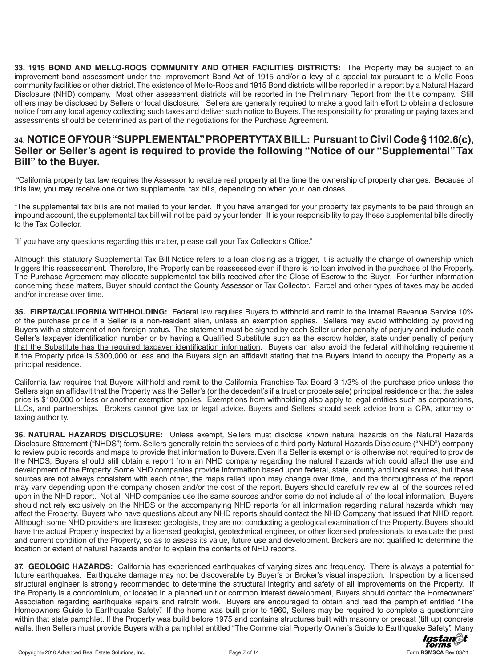**33. 1915 BOND AND MELLO-ROOS COMMUNITY AND OTHER FACILITIES DISTRICTS:** The Property may be subject to an improvement bond assessment under the Improvement Bond Act of 1915 and/or a levy of a special tax pursuant to a Mello-Roos community facilities or other district.The existence of Mello-Roos and 1915 Bond districts will be reported in a report by a Natural Hazard Disclosure (NHD) company. Most other assessment districts will be reported in the Preliminary Report from the title company. Still others may be disclosed by Sellers or local disclosure. Sellers are generally required to make a good faith effort to obtain a disclosure notice from any local agency collecting such taxes and deliver such notice to Buyers.The responsibility for prorating or paying taxes and assessments should be determined as part of the negotiations for the Purchase Agreement.

## **34. NOTICE OF YOUR "SUPPLEMENTAL" PROPERTY TAX BILL: Pursuant to Civil Code § 1102.6(c), Seller or Seller's agent is required to provide the following "Notice of our "Supplemental" Tax Bill" to the Buyer.**

"California property tax law requires the Assessor to revalue real property at the time the ownership of property changes. Because of this law, you may receive one or two supplemental tax bills, depending on when your loan closes.

"The supplemental tax bills are not mailed to your lender. If you have arranged for your property tax payments to be paid through an impound account, the supplemental tax bill will not be paid by your lender. It is your responsibility to pay these supplemental bills directly to the Tax Collector.

"If you have any questions regarding this matter, please call your Tax Collector's Office."

Although this statutory Supplemental Tax Bill Notice refers to a loan closing as a trigger, it is actually the change of ownership which triggers this reassessment. Therefore, the Property can be reassessed even if there is no loan involved in the purchase of the Property. The Purchase Agreement may allocate supplemental tax bills received after the Close of Escrow to the Buyer. For further information concerning these matters, Buyer should contact the County Assessor or Tax Collector. Parcel and other types of taxes may be added and/or increase over time.

**35. FIRPTA/CALIFORNIA WITHHOLDING:** Federal law requires Buyers to withhold and remit to the Internal Revenue Service 10% of the purchase price if a Seller is a non-resident alien, unless an exemption applies. Sellers may avoid withholding by providing Buyers with a statement of non-foreign status. The statement must be signed by each Seller under penalty of perjury and include each Seller's taxpayer identification number or by having a Qualified Substitute such as the escrow holder, state under penalty of perjury that the Substitute has the required taxpayer identification information. Buyers can also avoid the federal withholding requirement if the Property price is \$300,000 or less and the Buyers sign an affidavit stating that the Buyers intend to occupy the Property as a principal residence.

California law requires that Buyers withhold and remit to the California Franchise Tax Board 3 1/3% of the purchase price unless the Sellers sign an affidavit that the Property was the Seller's (or the decedent's if a trust or probate sale) principal residence or that the sales price is \$100,000 or less or another exemption applies. Exemptions from withholding also apply to legal entities such as corporations, LLCs, and partnerships. Brokers cannot give tax or legal advice. Buyers and Sellers should seek advice from a CPA, attorney or taxing authority.

**36. NATURAL HAZARDS DISCLOSURE:** Unless exempt, Sellers must disclose known natural hazards on the Natural Hazards Disclosure Statement ("NHDS") form. Sellers generally retain the services of a third party Natural Hazards Disclosure ("NHD") company to review public records and maps to provide that information to Buyers. Even if a Seller is exempt or is otherwise not required to provide the NHDS, Buyers should still obtain a report from an NHD company regarding the natural hazards which could affect the use and development of the Property. Some NHD companies provide information based upon federal, state, county and local sources, but these sources are not always consistent with each other, the maps relied upon may change over time, and the thoroughness of the report may vary depending upon the company chosen and/or the cost of the report. Buyers should carefully review all of the sources relied upon in the NHD report. Not all NHD companies use the same sources and/or some do not include all of the local information. Buyers should not rely exclusively on the NHDS or the accompanying NHD reports for all information regarding natural hazards which may affect the Property. Buyers who have questions about any NHD reports should contact the NHD Company that issued that NHD report. Although some NHD providers are licensed geologists, they are not conducting a geological examination of the Property. Buyers should have the actual Property inspected by a licensed geologist, geotechnical engineer, or other licensed professionals to evaluate the past and current condition of the Property, so as to assess its value, future use and development. Brokers are not qualified to determine the location or extent of natural hazards and/or to explain the contents of NHD reports.

**37. GEOLOGIC HAZARDS:** California has experienced earthquakes of varying sizes and frequency. There is always a potential for future earthquakes. Earthquake damage may not be discoverable by Buyer's or Broker's visual inspection. Inspection by a licensed structural engineer is strongly recommended to determine the structural integrity and safety of all improvements on the Property. If the Property is a condominium, or located in a planned unit or common interest development, Buyers should contact the Homeowners' Association regarding earthquake repairs and retrofit work. Buyers are encouraged to obtain and read the pamphlet entitled "The Homeowners Guide to Earthquake Safety". If the home was built prior to 1960, Sellers may be required to complete a questionnaire within that state pamphlet. If the Property was build before 1975 and contains structures built with masonry or precast (tilt up) concrete walls, then Sellers must provide Buyers with a pamphlet entitled "The Commercial Property Owner's Guide to Earthquake Safety". Many

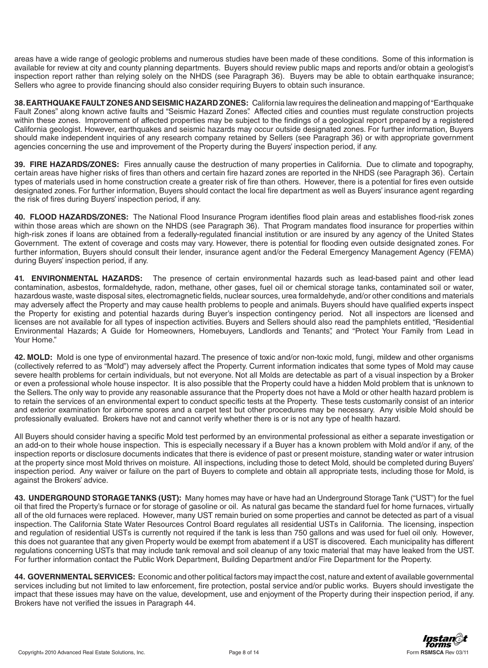areas have a wide range of geologic problems and numerous studies have been made of these conditions. Some of this information is available for review at city and county planning departments. Buyers should review public maps and reports and/or obtain a geologist's inspection report rather than relying solely on the NHDS (see Paragraph 36). Buyers may be able to obtain earthquake insurance; Sellers who agree to provide financing should also consider requiring Buyers to obtain such insurance.

**38. EARTHQUAKE FAULT ZONES AND SEISMIC HAZARD ZONES:** California law requires the delineation and mapping of "Earthquake Fault Zones" along known active faults and "Seismic Hazard Zones". Affected cities and counties must regulate construction projects within these zones. Improvement of affected properties may be subject to the findings of a geological report prepared by a registered California geologist. However, earthquakes and seismic hazards may occur outside designated zones. For further information, Buyers should make independent inquiries of any research company retained by Sellers (see Paragraph 36) or with appropriate government agencies concerning the use and improvement of the Property during the Buyers' inspection period, if any.

**39. FIRE HAZARDS/ZONES:** Fires annually cause the destruction of many properties in California. Due to climate and topography, certain areas have higher risks of fires than others and certain fire hazard zones are reported in the NHDS (see Paragraph 36). Certain types of materials used in home construction create a greater risk of fire than others. However, there is a potential for fires even outside designated zones. For further information, Buyers should contact the local fire department as well as Buyers' insurance agent regarding the risk of fires during Buyers' inspection period, if any.

**40. FLOOD HAZARDS/ZONES:** The National Flood Insurance Program identifies flood plain areas and establishes flood-risk zones within those areas which are shown on the NHDS (see Paragraph 36). That Program mandates flood insurance for properties within high-risk zones if loans are obtained from a federally-regulated financial institution or are insured by any agency of the United States Government. The extent of coverage and costs may vary. However, there is potential for flooding even outside designated zones. For further information, Buyers should consult their lender, insurance agent and/or the Federal Emergency Management Agency (FEMA) during Buyers' inspection period, if any.

**41. ENVIRONMENTAL HAZARDS:** The presence of certain environmental hazards such as lead-based paint and other lead contamination, asbestos, formaldehyde, radon, methane, other gases, fuel oil or chemical storage tanks, contaminated soil or water, hazardous waste, waste disposal sites, electromagnetic fields, nuclear sources, urea formaldehyde, and/or other conditions and materials may adversely affect the Property and may cause health problems to people and animals. Buyers should have qualified experts inspect the Property for existing and potential hazards during Buyer's inspection contingency period. Not all inspectors are licensed and licenses are not available for all types of inspection activities. Buyers and Sellers should also read the pamphlets entitled, "Residential Environmental Hazards; A Guide for Homeowners, Homebuyers, Landlords and Tenants", and "Protect Your Family from Lead in Your Home."

**42. MOLD:** Mold is one type of environmental hazard. The presence of toxic and/or non-toxic mold, fungi, mildew and other organisms (collectively referred to as "Mold") may adversely affect the Property. Current information indicates that some types of Mold may cause severe health problems for certain individuals, but not everyone. Not all Molds are detectable as part of a visual inspection by a Broker or even a professional whole house inspector. It is also possible that the Property could have a hidden Mold problem that is unknown to the Sellers. The only way to provide any reasonable assurance that the Property does not have a Mold or other health hazard problem is to retain the services of an environmental expert to conduct specific tests at the Property. These tests customarily consist of an interior and exterior examination for airborne spores and a carpet test but other procedures may be necessary. Any visible Mold should be professionally evaluated. Brokers have not and cannot verify whether there is or is not any type of health hazard.

All Buyers should consider having a specific Mold test performed by an environmental professional as either a separate investigation or an add-on to their whole house inspection. This is especially necessary if a Buyer has a known problem with Mold and/or if any, of the inspection reports or disclosure documents indicates that there is evidence of past or present moisture, standing water or water intrusion at the property since most Mold thrives on moisture. All inspections, including those to detect Mold, should be completed during Buyers' inspection period. Any waiver or failure on the part of Buyers to complete and obtain all appropriate tests, including those for Mold, is against the Brokers' advice.

**43. UNDERGROUND STORAGE TANKS (UST):** Many homes may have or have had an Underground Storage Tank ("UST") for the fuel oil that fired the Property's furnace or for storage of gasoline or oil. As natural gas became the standard fuel for home furnaces, virtually all of the old furnaces were replaced. However, many UST remain buried on some properties and cannot be detected as part of a visual inspection. The California State Water Resources Control Board regulates all residential USTs in California. The licensing, inspection and regulation of residential USTs is currently not required if the tank is less than 750 gallons and was used for fuel oil only. However, this does not guarantee that any given Property would be exempt from abatement if a UST is discovered. Each municipality has different regulations concerning USTs that may include tank removal and soil cleanup of any toxic material that may have leaked from the UST. For further information contact the Public Work Department, Building Department and/or Fire Department for the Property.

**44. GOVERNMENTAL SERVICES:** Economic and other political factors may impact the cost, nature and extent of available governmental services including but not limited to law enforcement, fire protection, postal service and/or public works. Buyers should investigate the impact that these issues may have on the value, development, use and enjoyment of the Property during their inspection period, if any. Brokers have not verified the issues in Paragraph 44.

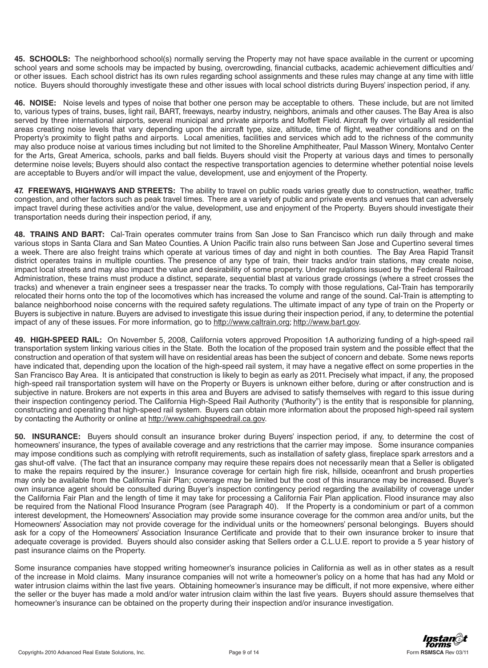**45. SCHOOLS:** The neighborhood school(s) normally serving the Property may not have space available in the current or upcoming school years and some schools may be impacted by busing, overcrowding, financial cutbacks, academic achievement difficulties and/ or other issues. Each school district has its own rules regarding school assignments and these rules may change at any time with little notice. Buyers should thoroughly investigate these and other issues with local school districts during Buyers' inspection period, if any.

**46. NOISE:** Noise levels and types of noise that bother one person may be acceptable to others. These include, but are not limited to, various types of trains, buses, light rail, BART, freeways, nearby industry, neighbors, animals and other causes. The Bay Area is also served by three international airports, several municipal and private airports and Moffett Field. Aircraft fly over virtually all residential areas creating noise levels that vary depending upon the aircraft type, size, altitude, time of flight, weather conditions and on the Property's proximity to flight paths and airports. Local amenities, facilities and services which add to the richness of the community may also produce noise at various times including but not limited to the Shoreline Amphitheater, Paul Masson Winery, Montalvo Center for the Arts, Great America, schools, parks and ball fields. Buyers should visit the Property at various days and times to personally determine noise levels; Buyers should also contact the respective transportation agencies to determine whether potential noise levels are acceptable to Buyers and/or will impact the value, development, use and enjoyment of the Property.

**47. FREEWAYS, HIGHWAYS AND STREETS:** The ability to travel on public roads varies greatly due to construction, weather, traffic congestion, and other factors such as peak travel times. There are a variety of public and private events and venues that can adversely impact travel during these activities and/or the value, development, use and enjoyment of the Property. Buyers should investigate their transportation needs during their inspection period, if any,

**48. TRAINS AND BART:** Cal-Train operates commuter trains from San Jose to San Francisco which run daily through and make various stops in Santa Clara and San Mateo Counties. A Union Pacific train also runs between San Jose and Cupertino several times a week. There are also freight trains which operate at various times of day and night in both counties. The Bay Area Rapid Transit district operates trains in multiple counties. The presence of any type of train, their tracks and/or train stations, may create noise, impact local streets and may also impact the value and desirability of some property. Under regulations issued by the Federal Railroad Administration, these trains must produce a distinct, separate, sequential blast at various grade crossings (where a street crosses the tracks) and whenever a train engineer sees a trespasser near the tracks. To comply with those regulations, Cal-Train has temporarily relocated their horns onto the top of the locomotives which has increased the volume and range of the sound. Cal-Train is attempting to balance neighborhood noise concerns with the required safety regulations. The ultimate impact of any type of train on the Property or Buyers is subjective in nature. Buyers are advised to investigate this issue during their inspection period, if any, to determine the potential impact of any of these issues. For more information, go to http://www.caltrain.org; http://www.bart.gov.

**49. HIGH-SPEED RAIL:** On November 5, 2008, California voters approved Proposition 1A authorizing funding of a high-speed rail transportation system linking various cities in the State. Both the location of the proposed train system and the possible effect that the construction and operation of that system will have on residential areas has been the subject of concern and debate. Some news reports have indicated that, depending upon the location of the high-speed rail system, it may have a negative effect on some properties in the San Francisco Bay Area. It is anticipated that construction is likely to begin as early as 2011. Precisely what impact, if any, the proposed high-speed rail transportation system will have on the Property or Buyers is unknown either before, during or after construction and is subjective in nature. Brokers are not experts in this area and Buyers are advised to satisfy themselves with regard to this issue during their inspection contingency period. The California High-Speed Rail Authority ("Authority") is the entity that is responsible for planning, constructing and operating that high-speed rail system. Buyers can obtain more information about the proposed high-speed rail system by contacting the Authority or online at http://www.cahighspeedrail.ca.gov.

**50. INSURANCE:** Buyers should consult an insurance broker during Buyers' inspection period, if any, to determine the cost of homeowners' insurance, the types of available coverage and any restrictions that the carrier may impose. Some insurance companies may impose conditions such as complying with retrofit requirements, such as installation of safety glass, fireplace spark arrestors and a gas shut-off valve. (The fact that an insurance company may require these repairs does not necessarily mean that a Seller is obligated to make the repairs required by the insurer.) Insurance coverage for certain high fire risk, hillside, oceanfront and brush properties may only be available from the California Fair Plan; coverage may be limited but the cost of this insurance may be increased. Buyer's own insurance agent should be consulted during Buyer's inspection contingency period regarding the availability of coverage under the California Fair Plan and the length of time it may take for processing a California Fair Plan application. Flood insurance may also be required from the National Flood Insurance Program (see Paragraph 40). If the Property is a condominium or part of a common interest development, the Homeowners' Association may provide some insurance coverage for the common area and/or units, but the Homeowners' Association may not provide coverage for the individual units or the homeowners' personal belongings. Buyers should ask for a copy of the Homeowners' Association Insurance Certificate and provide that to their own insurance broker to insure that adequate coverage is provided. Buyers should also consider asking that Sellers order a C.L.U.E. report to provide a 5 year history of past insurance claims on the Property.

Some insurance companies have stopped writing homeowner's insurance policies in California as well as in other states as a result of the increase in Mold claims. Many insurance companies will not write a homeowner's policy on a home that has had any Mold or water intrusion claims within the last five years. Obtaining homeowner's insurance may be difficult, if not more expensive, where either the seller or the buyer has made a mold and/or water intrusion claim within the last five years. Buyers should assure themselves that homeowner's insurance can be obtained on the property during their inspection and/or insurance investigation.

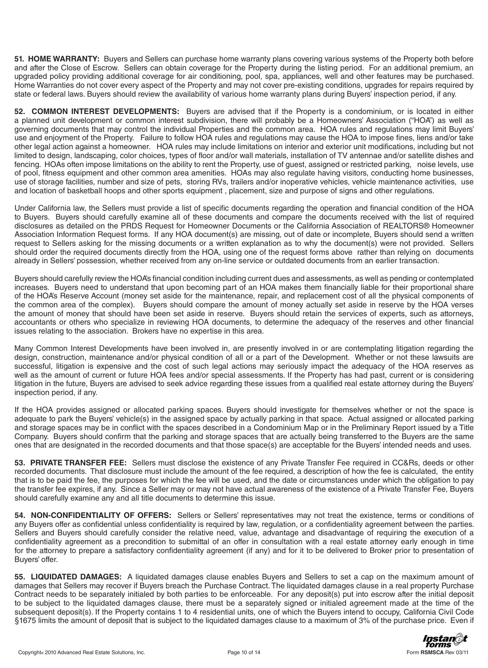**51. HOME WARRANTY:** Buyers and Sellers can purchase home warranty plans covering various systems of the Property both before and after the Close of Escrow. Sellers can obtain coverage for the Property during the listing period. For an additional premium, an upgraded policy providing additional coverage for air conditioning, pool, spa, appliances, well and other features may be purchased. Home Warranties do not cover every aspect of the Property and may not cover pre-existing conditions, upgrades for repairs required by state or federal laws. Buyers should review the availability of various home warranty plans during Buyers' inspection period, if any.

**52. COMMON INTEREST DEVELOPMENTS:** Buyers are advised that if the Property is a condominium, or is located in either a planned unit development or common interest subdivision, there will probably be a Homeowners' Association ("HOA") as well as governing documents that may control the individual Properties and the common area. HOA rules and regulations may limit Buyers' use and enjoyment of the Property. Failure to follow HOA rules and regulations may cause the HOA to impose fines, liens and/or take other legal action against a homeowner. HOA rules may include limitations on interior and exterior unit modifications, including but not limited to design, landscaping, color choices, types of floor and/or wall materials, installation of TV antennae and/or satellite dishes and fencing. HOAs often impose limitations on the ability to rent the Property, use of guest, assigned or restricted parking, noise levels, use of pool, fitness equipment and other common area amenities. HOAs may also regulate having visitors, conducting home businesses, use of storage facilities, number and size of pets, storing RVs, trailers and/or inoperative vehicles, vehicle maintenance activities, use and location of basketball hoops and other sports equipment , placement, size and purpose of signs and other regulations.

Under California law, the Sellers must provide a list of specific documents regarding the operation and financial condition of the HOA to Buyers. Buyers should carefully examine all of these documents and compare the documents received with the list of required disclosures as detailed on the PRDS Request for Homeowner Documents or the California Association of REALTORS® Homeowner Association Information Request forms. If any HOA document(s) are missing, out of date or incomplete, Buyers should send a written request to Sellers asking for the missing documents or a written explanation as to why the document(s) were not provided. Sellers should order the required documents directly from the HOA, using one of the request forms above rather than relying on documents already in Sellers' possession, whether received from any on-line service or outdated documents from an earlier transaction.

Buyers should carefully review the HOA's financial condition including current dues and assessments, as well as pending or contemplated increases. Buyers need to understand that upon becoming part of an HOA makes them financially liable for their proportional share of the HOA's Reserve Account (money set aside for the maintenance, repair, and replacement cost of all the physical components of the common area of the complex). Buyers should compare the amount of money actually set aside in reserve by the HOA verses the amount of money that should have been set aside in reserve. Buyers should retain the services of experts, such as attorneys, accountants or others who specialize in reviewing HOA documents, to determine the adequacy of the reserves and other financial issues relating to the association. Brokers have no expertise in this area.

Many Common Interest Developments have been involved in, are presently involved in or are contemplating litigation regarding the design, construction, maintenance and/or physical condition of all or a part of the Development. Whether or not these lawsuits are successful, litigation is expensive and the cost of such legal actions may seriously impact the adequacy of the HOA reserves as well as the amount of current or future HOA fees and/or special assessments. If the Property has had past, current or is considering litigation in the future, Buyers are advised to seek advice regarding these issues from a qualified real estate attorney during the Buyers' inspection period, if any.

If the HOA provides assigned or allocated parking spaces. Buyers should investigate for themselves whether or not the space is adequate to park the Buyers' vehicle(s) in the assigned space by actually parking in that space. Actual assigned or allocated parking and storage spaces may be in conflict with the spaces described in a Condominium Map or in the Preliminary Report issued by a Title Company. Buyers should confirm that the parking and storage spaces that are actually being transferred to the Buyers are the same ones that are designated in the recorded documents and that those space(s) are acceptable for the Buyers' intended needs and uses.

**53. PRIVATE TRANSFER FEE:** Sellers must disclose the existence of any Private Transfer Fee required in CC&Rs, deeds or other recorded documents. That disclosure must include the amount of the fee required, a description of how the fee is calculated, the entity that is to be paid the fee, the purposes for which the fee will be used, and the date or circumstances under which the obligation to pay the transfer fee expires, if any. Since a Seller may or may not have actual awareness of the existence of a Private Transfer Fee, Buyers should carefully examine any and all title documents to determine this issue.

**54. NON-CONFIDENTIALITY OF OFFERS:** Sellers or Sellers' representatives may not treat the existence, terms or conditions of any Buyers offer as confidential unless confidentiality is required by law, regulation, or a confidentiality agreement between the parties. Sellers and Buyers should carefully consider the relative need, value, advantage and disadvantage of requiring the execution of a confidentiality agreement as a precondition to submittal of an offer in consultation with a real estate attorney early enough in time for the attorney to prepare a satisfactory confidentiality agreement (if any) and for it to be delivered to Broker prior to presentation of Buyers' offer.

**55. LIQUIDATED DAMAGES:** A liquidated damages clause enables Buyers and Sellers to set a cap on the maximum amount of damages that Sellers may recover if Buyers breach the Purchase Contract. The liquidated damages clause in a real property Purchase Contract needs to be separately initialed by both parties to be enforceable. For any deposit(s) put into escrow after the initial deposit to be subject to the liquidated damages clause, there must be a separately signed or initialed agreement made at the time of the subsequent deposit(s). If the Property contains 1 to 4 residential units, one of which the Buyers intend to occupy, California Civil Code §1675 limits the amount of deposit that is subject to the liquidated damages clause to a maximum of 3% of the purchase price. Even if

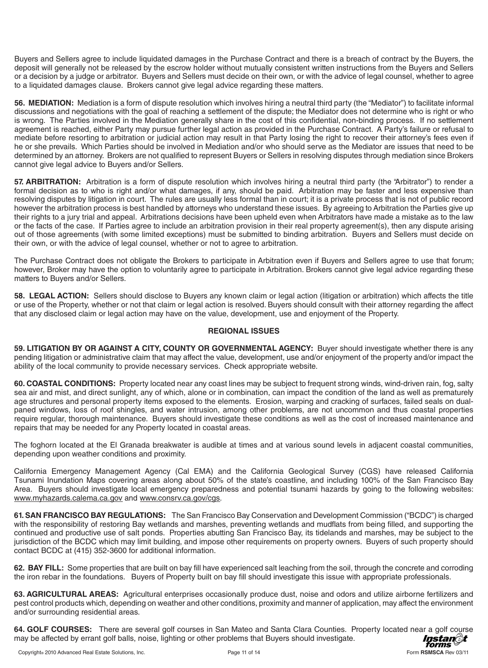Buyers and Sellers agree to include liquidated damages in the Purchase Contract and there is a breach of contract by the Buyers, the deposit will generally not be released by the escrow holder without mutually consistent written instructions from the Buyers and Sellers or a decision by a judge or arbitrator. Buyers and Sellers must decide on their own, or with the advice of legal counsel, whether to agree to a liquidated damages clause. Brokers cannot give legal advice regarding these matters.

**56. MEDIATION:** Mediation is a form of dispute resolution which involves hiring a neutral third party (the "Mediator") to facilitate informal discussions and negotiations with the goal of reaching a settlement of the dispute; the Mediator does not determine who is right or who is wrong. The Parties involved in the Mediation generally share in the cost of this confidential, non-binding process. If no settlement agreement is reached, either Party may pursue further legal action as provided in the Purchase Contract. A Party's failure or refusal to mediate before resorting to arbitration or judicial action may result in that Party losing the right to recover their attorney's fees even if he or she prevails. Which Parties should be involved in Mediation and/or who should serve as the Mediator are issues that need to be determined by an attorney. Brokers are not qualified to represent Buyers or Sellers in resolving disputes through mediation since Brokers cannot give legal advice to Buyers and/or Sellers.

**57. ARBITRATION:** Arbitration is a form of dispute resolution which involves hiring a neutral third party (the "Arbitrator") to render a formal decision as to who is right and/or what damages, if any, should be paid. Arbitration may be faster and less expensive than resolving disputes by litigation in court. The rules are usually less formal than in court; it is a private process that is not of public record however the arbitration process is best handled by attorneys who understand these issues. By agreeing to Arbitration the Parties give up their rights to a jury trial and appeal. Arbitrations decisions have been upheld even when Arbitrators have made a mistake as to the law or the facts of the case. If Parties agree to include an arbitration provision in their real property agreement(s), then any dispute arising out of those agreements (with some limited exceptions) must be submitted to binding arbitration. Buyers and Sellers must decide on their own, or with the advice of legal counsel, whether or not to agree to arbitration.

The Purchase Contract does not obligate the Brokers to participate in Arbitration even if Buyers and Sellers agree to use that forum; however, Broker may have the option to voluntarily agree to participate in Arbitration. Brokers cannot give legal advice regarding these matters to Buyers and/or Sellers.

**58. LEGAL ACTION:** Sellers should disclose to Buyers any known claim or legal action (litigation or arbitration) which affects the title or use of the Property, whether or not that claim or legal action is resolved. Buyers should consult with their attorney regarding the affect that any disclosed claim or legal action may have on the value, development, use and enjoyment of the Property.

## **REGIONAL ISSUES**

**59. LITIGATION BY OR AGAINST A CITY, COUNTY OR GOVERNMENTAL AGENCY:** Buyer should investigate whether there is any pending litigation or administrative claim that may affect the value, development, use and/or enjoyment of the property and/or impact the ability of the local community to provide necessary services. Check appropriate website.

**60. COASTAL CONDITIONS:** Property located near any coast lines may be subject to frequent strong winds, wind-driven rain, fog, salty sea air and mist, and direct sunlight, any of which, alone or in combination, can impact the condition of the land as well as prematurely age structures and personal property items exposed to the elements. Erosion, warping and cracking of surfaces, failed seals on dualpaned windows, loss of roof shingles, and water intrusion, among other problems, are not uncommon and thus coastal properties require regular, thorough maintenance. Buyers should investigate these conditions as well as the cost of increased maintenance and repairs that may be needed for any Property located in coastal areas.

The foghorn located at the El Granada breakwater is audible at times and at various sound levels in adjacent coastal communities, depending upon weather conditions and proximity.

California Emergency Management Agency (Cal EMA) and the California Geological Survey (CGS) have released California Tsunami Inundation Maps covering areas along about 50% of the state's coastline, and including 100% of the San Francisco Bay Area. Buyers should investigate local emergency preparedness and potential tsunami hazards by going to the following websites: www.myhazards.calema.ca.gov and www.consrv.ca.gov/cgs.

**61. SAN FRANCISCO BAY REGULATIONS:** The San Francisco Bay Conservation and Development Commission ("BCDC") is charged with the responsibility of restoring Bay wetlands and marshes, preventing wetlands and mudflats from being filled, and supporting the continued and productive use of salt ponds. Properties abutting San Francisco Bay, its tidelands and marshes, may be subject to the jurisdiction of the BCDC which may limit building, and impose other requirements on property owners. Buyers of such property should contact BCDC at (415) 352-3600 for additional information.

**62. BAY FILL:** Some properties that are built on bay fill have experienced salt leaching from the soil, through the concrete and corroding the iron rebar in the foundations. Buyers of Property built on bay fill should investigate this issue with appropriate professionals.

**63. AGRICULTURAL AREAS:** Agricultural enterprises occasionally produce dust, noise and odors and utilize airborne fertilizers and pest control products which, depending on weather and other conditions, proximity and manner of application, may affect the environment and/or surrounding residential areas.

**64. GOLF COURSES:** There are several golf courses in San Mateo and Santa Clara Counties. Property located near a golf course<br>may be affected by errant golf balls, noise, lighting or other problems that Buyers should inves may be affected by errant golf balls, noise, lighting or other problems that Buyers should investigate.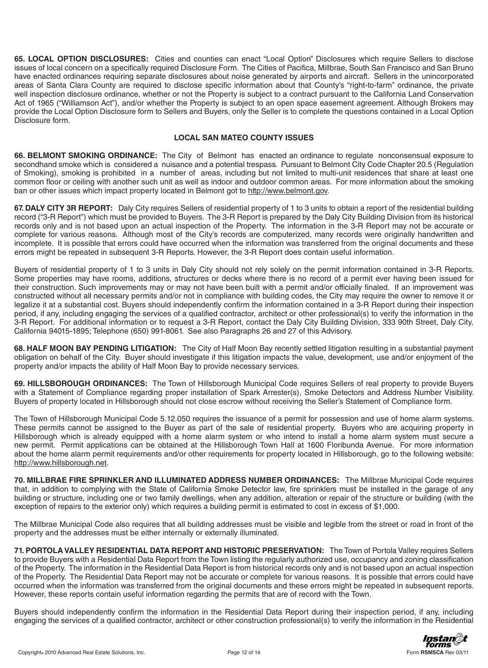**65. LOCAL OPTION DISCLOSURES:** Cities and counties can enact "Local Option" Disclosures which require Sellers to disclose issues of local concern on a specifically required Disclosure Form. The Cities of Pacifica, Millbrae, South San Francisco and San Bruno have enacted ordinances requiring separate disclosures about noise generated by airports and aircraft. Sellers in the unincorporated areas of Santa Clara County are required to disclose specific information about that County's "right-to-farm" ordinance, the private well inspection disclosure ordinance, whether or not the Property is subject to a contract pursuant to the California Land Conservation Act of 1965 ("Williamson Act"), and/or whether the Property is subject to an open space easement agreement. Although Brokers may provide the Local Option Disclosure form to Sellers and Buyers, only the Seller is to complete the questions contained in a Local Option Disclosure form.

## **LOCAL SAN MATEO COUNTY ISSUES**

**66. BELMONT SMOKING ORDINANCE:** The City of Belmont has enacted an ordinance to regulate nonconsensual exposure to secondhand smoke which is considered a nuisance and a potential trespass. Pursuant to Belmont City Code Chapter 20.5 (Regulation of Smoking), smoking is prohibited in a number of areas, including but not limited to multi-unit residences that share at least one common floor or ceiling with another such unit as well as indoor and outdoor common areas. For more information about the smoking ban or other issues which impact property located in Belmont got to http://www.belmont.gov.

**67. DALY CITY 3R REPORT:** Daly City requires Sellers of residential property of 1 to 3 units to obtain a report of the residential building record ("3-R Report") which must be provided to Buyers. The 3-R Report is prepared by the Daly City Building Division from its historical records only and is not based upon an actual inspection of the Property. The information in the 3-R Report may not be accurate or complete for various reasons. Although most of the City's records are computerized, many records were originally handwritten and incomplete. It is possible that errors could have occurred when the information was transferred from the original documents and these errors might be repeated in subsequent 3-R Reports. However, the 3-R Report does contain useful information.

Buyers of residential property of 1 to 3 units in Daly City should not rely solely on the permit information contained in 3-R Reports. Some properties may have rooms, additions, structures or decks where there is no record of a permit ever having been issued for their construction. Such improvements may or may not have been built with a permit and/or officially finaled. If an improvement was constructed without all necessary permits and/or not in compliance with building codes, the City may require the owner to remove it or legalize it at a substantial cost. Buyers should independently confirm the information contained in a 3-R Report during their inspection period, if any, including engaging the services of a qualified contractor, architect or other professional(s) to verify the information in the 3-R Report. For additional information or to request a 3-R Report, contact the Daly City Building Division, 333 90th Street, Daly City, California 94015-1895; Telephone (650) 991-8061. See also Paragraphs 26 and 27 of this Advisory.

**68. HALF MOON BAY PENDING LITIGATION:** The City of Half Moon Bay recently settled litigation resulting in a substantial payment obligation on behalf of the City. Buyer should investigate if this litigation impacts the value, development, use and/or enjoyment of the property and/or impacts the ability of Half Moon Bay to provide necessary services.

**69. HILLSBOROUGH ORDINANCES:** The Town of Hillsborough Municipal Code requires Sellers of real property to provide Buyers with a Statement of Compliance regarding proper installation of Spark Arrester(s), Smoke Detectors and Address Number Visibility. Buyers of property located in Hillsborough should not close escrow without receiving the Seller's Statement of Compliance form.

The Town of Hillsborough Municipal Code 5.12.050 requires the issuance of a permit for possession and use of home alarm systems. These permits cannot be assigned to the Buyer as part of the sale of residential property. Buyers who are acquiring property in Hillsborough which is already equipped with a home alarm system or who intend to install a home alarm system must secure a new permit. Permit applications can be obtained at the Hillsborough Town Hall at 1600 Floribunda Avenue. For more information about the home alarm permit requirements and/or other requirements for property located in Hillsborough, go to the following website: http://www.hillsborough.net.

**70. MILLBRAE FIRE SPRINKLER AND ILLUMINATED ADDRESS NUMBER ORDINANCES:** The Millbrae Municipal Code requires that, in addition to complying with the State of California Smoke Detector law, fire sprinklers must be installed in the garage of any building or structure, including one or two family dwellings, when any addition, alteration or repair of the structure or building (with the exception of repairs to the exterior only) which requires a building permit is estimated to cost in excess of \$1,000.

The Millbrae Municipal Code also requires that all building addresses must be visible and legible from the street or road in front of the property and the addresses must be either internally or externally illuminated.

**71. PORTOLA VALLEY RESIDENTIAL DATA REPORT AND HISTORIC PRESERVATION:** The Town of Portola Valley requires Sellers to provide Buyers with a Residential Data Report from the Town listing the regularly authorized use, occupancy and zoning classification of the Property. The information in the Residential Data Report is from historical records only and is not based upon an actual inspection of the Property. The Residential Data Report may not be accurate or complete for various reasons. It is possible that errors could have occurred when the information was transferred from the original documents and these errors might be repeated in subsequent reports. However, these reports contain useful information regarding the permits that are of record with the Town.

Buyers should independently confirm the information in the Residential Data Report during their inspection period, if any, including engaging the services of a qualified contractor, architect or other construction professional(s) to verify the information in the Residential

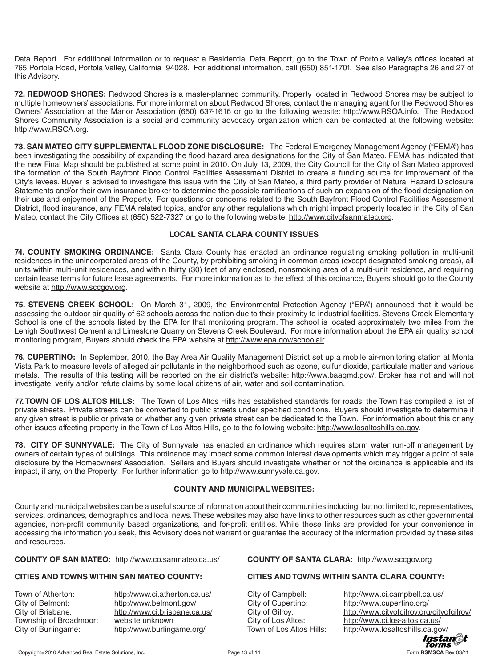Data Report. For additional information or to request a Residential Data Report, go to the Town of Portola Valley's offices located at 765 Portola Road, Portola Valley, California 94028. For additional information, call (650) 851-1701. See also Paragraphs 26 and 27 of this Advisory.

**72. REDWOOD SHORES:** Redwood Shores is a master-planned community. Property located in Redwood Shores may be subject to multiple homeowners' associations. For more information about Redwood Shores, contact the managing agent for the Redwood Shores Owners' Association at the Manor Association (650) 637-1616 or go to the following website: http://www.RSOA.info. The Redwood Shores Community Association is a social and community advocacy organization which can be contacted at the following website: http://www.RSCA.org.

**73. SAN MATEO CITY SUPPLEMENTAL FLOOD ZONE DISCLOSURE:** The Federal Emergency Management Agency ("FEMA") has been investigating the possibility of expanding the flood hazard area designations for the City of San Mateo. FEMA has indicated that the new Final Map should be published at some point in 2010. On July 13, 2009, the City Council for the City of San Mateo approved the formation of the South Bayfront Flood Control Facilities Assessment District to create a funding source for improvement of the City's levees. Buyer is advised to investigate this issue with the City of San Mateo, a third party provider of Natural Hazard Disclosure Statements and/or their own insurance broker to determine the possible ramifications of such an expansion of the flood designation on their use and enjoyment of the Property. For questions or concerns related to the South Bayfront Flood Control Facilities Assessment District, flood insurance, any FEMA related topics, and/or any other regulations which might impact property located in the City of San Mateo, contact the City Offices at (650) 522-7327 or go to the following website: http://www.cityofsanmateo.org.

## **LOCAL SANTA CLARA COUNTY ISSUES**

**74. COUNTY SMOKING ORDINANCE:** Santa Clara County has enacted an ordinance regulating smoking pollution in multi-unit residences in the unincorporated areas of the County, by prohibiting smoking in common areas (except designated smoking areas), all units within multi-unit residences, and within thirty (30) feet of any enclosed, nonsmoking area of a multi-unit residence, and requiring certain lease terms for future lease agreements. For more information as to the effect of this ordinance, Buyers should go to the County website at http://www.sccgov.org.

**75. STEVENS CREEK SCHOOL:** On March 31, 2009, the Environmental Protection Agency ("EPA") announced that it would be assessing the outdoor air quality of 62 schools across the nation due to their proximity to industrial facilities. Stevens Creek Elementary School is one of the schools listed by the EPA for that monitoring program. The school is located approximately two miles from the Lehigh Southwest Cement and Limestone Quarry on Stevens Creek Boulevard. For more information about the EPA air quality school monitoring program, Buyers should check the EPA website at http://www.epa.gov/schoolair.

**76. CUPERTINO:** In September, 2010, the Bay Area Air Quality Management District set up a mobile air-monitoring station at Monta Vista Park to measure levels of alleged air pollutants in the neighborhood such as ozone, sulfur dioxide, particulate matter and various metals. The results of this testing will be reported on the air district's website: http://www.baaqmd.gov/. Broker has not and will not investigate, verify and/or refute claims by some local citizens of air, water and soil contamination.

**77. TOWN OF LOS ALTOS HILLS:** The Town of Los Altos Hills has established standards for roads; the Town has compiled a list of private streets. Private streets can be converted to public streets under specified conditions. Buyers should investigate to determine if any given street is public or private or whether any given private street can be dedicated to the Town. For information about this or any other issues affecting property in the Town of Los Altos Hills, go to the following website: http://www.losaltoshills.ca.gov.

**78. CITY OF SUNNYVALE:** The City of Sunnyvale has enacted an ordinance which requires storm water run-off management by owners of certain types of buildings. This ordinance may impact some common interest developments which may trigger a point of sale disclosure by the Homeowners' Association. Sellers and Buyers should investigate whether or not the ordinance is applicable and its impact, if any, on the Property. For further information go to http://www.sunnyvale.ca.gov.

## **COUNTY AND MUNICIPAL WEBSITES:**

County and municipal websites can be a useful source of information about their communities including, but not limited to, representatives, services, ordinances, demographics and local news. These websites may also have links to other resources such as other governmental agencies, non-profit community based organizations, and for-profit entities. While these links are provided for your convenience in accessing the information you seek, this Advisory does not warrant or guarantee the accuracy of the information provided by these sites and resources.

## **COUNTY OF SAN MATEO:** http://www.co.sanmateo.ca.us/ **COUNTY OF SANTA CLARA:** http://www.sccgov.org

## **CITIES AND TOWNS WITHIN SAN MATEO COUNTY: CITIES AND TOWNS WITHIN SANTA CLARA COUNTY:**

City of Belmont: http://www.belmont.gov/ City of Cupertino: http://www.cupertino.org/ Township of Broadmoor: website unknown City of Los Altos: http://www.ci.los-altos.ca.us/

Town of Atherton: http://www.ci.atherton.ca.us/ City of Campbell: http://www.ci.campbell.ca.us/ City of Brisbane: http://www.ci.brisbane.ca.us/ City of Gilroy: http://www.cityofgilroy.org/cityofgilroy/ City of Burlingame: http://www.burlingame.org/ Town of Los Altos Hills: http://www.losaltoshills.ca.gov/<br>10stan